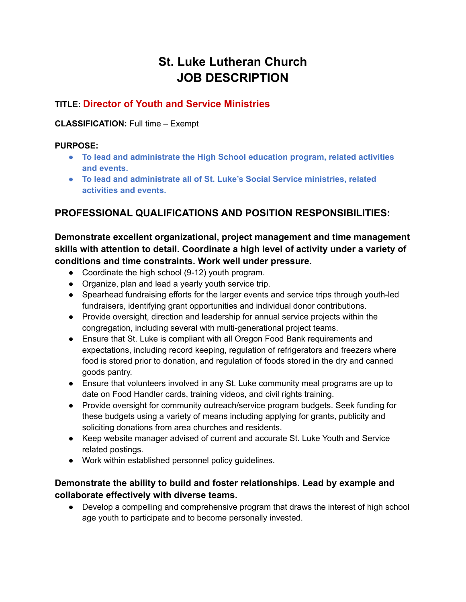# **St. Luke Lutheran Church JOB DESCRIPTION**

## **TITLE: Director of Youth and Service Ministries**

#### **CLASSIFICATION:** Full time – Exempt

#### **PURPOSE:**

- **● To lead and administrate the High School education program, related activities and events.**
- **To lead and administrate all of St. Luke's Social Service ministries, related activities and events.**

# **PROFESSIONAL QUALIFICATIONS AND POSITION RESPONSIBILITIES:**

**Demonstrate excellent organizational, project management and time management skills with attention to detail. Coordinate a high level of activity under a variety of conditions and time constraints. Work well under pressure.**

- Coordinate the high school (9-12) youth program.
- Organize, plan and lead a yearly youth service trip.
- Spearhead fundraising efforts for the larger events and service trips through youth-led fundraisers, identifying grant opportunities and individual donor contributions.
- Provide oversight, direction and leadership for annual service projects within the congregation, including several with multi-generational project teams.
- Ensure that St. Luke is compliant with all Oregon Food Bank requirements and expectations, including record keeping, regulation of refrigerators and freezers where food is stored prior to donation, and regulation of foods stored in the dry and canned goods pantry.
- Ensure that volunteers involved in any St. Luke community meal programs are up to date on Food Handler cards, training videos, and civil rights training.
- Provide oversight for community outreach/service program budgets. Seek funding for these budgets using a variety of means including applying for grants, publicity and soliciting donations from area churches and residents.
- Keep website manager advised of current and accurate St. Luke Youth and Service related postings.
- Work within established personnel policy guidelines.

### **Demonstrate the ability to build and foster relationships. Lead by example and collaborate effectively with diverse teams.**

• Develop a compelling and comprehensive program that draws the interest of high school age youth to participate and to become personally invested.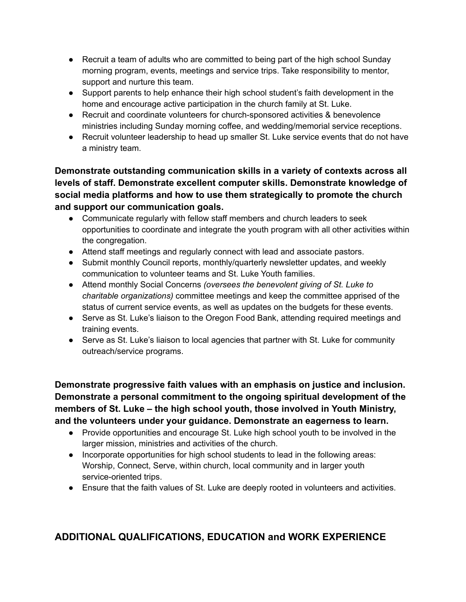- Recruit a team of adults who are committed to being part of the high school Sunday morning program, events, meetings and service trips. Take responsibility to mentor, support and nurture this team.
- Support parents to help enhance their high school student's faith development in the home and encourage active participation in the church family at St. Luke.
- Recruit and coordinate volunteers for church-sponsored activities & benevolence ministries including Sunday morning coffee, and wedding/memorial service receptions.
- Recruit volunteer leadership to head up smaller St. Luke service events that do not have a ministry team.

**Demonstrate outstanding communication skills in a variety of contexts across all levels of staff. Demonstrate excellent computer skills. Demonstrate knowledge of social media platforms and how to use them strategically to promote the church and support our communication goals.**

- Communicate regularly with fellow staff members and church leaders to seek opportunities to coordinate and integrate the youth program with all other activities within the congregation.
- Attend staff meetings and regularly connect with lead and associate pastors.
- Submit monthly Council reports, monthly/quarterly newsletter updates, and weekly communication to volunteer teams and St. Luke Youth families.
- Attend monthly Social Concerns *(oversees the benevolent giving of St. Luke to charitable organizations)* committee meetings and keep the committee apprised of the status of current service events, as well as updates on the budgets for these events.
- Serve as St. Luke's liaison to the Oregon Food Bank, attending required meetings and training events.
- Serve as St. Luke's liaison to local agencies that partner with St. Luke for community outreach/service programs.

**Demonstrate progressive faith values with an emphasis on justice and inclusion. Demonstrate a personal commitment to the ongoing spiritual development of the members of St. Luke – the high school youth, those involved in Youth Ministry, and the volunteers under your guidance. Demonstrate an eagerness to learn.**

- Provide opportunities and encourage St. Luke high school youth to be involved in the larger mission, ministries and activities of the church.
- Incorporate opportunities for high school students to lead in the following areas: Worship, Connect, Serve, within church, local community and in larger youth service-oriented trips.
- Ensure that the faith values of St. Luke are deeply rooted in volunteers and activities.

# **ADDITIONAL QUALIFICATIONS, EDUCATION and WORK EXPERIENCE**